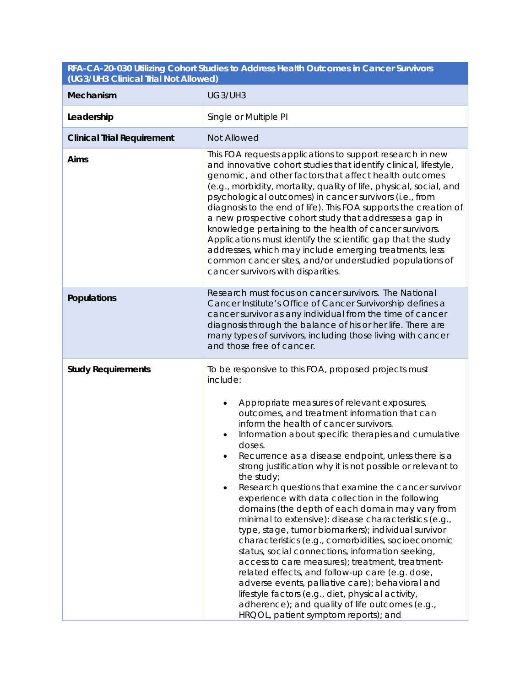| (UG3/UH3 Clinical Trial Not Allowed) |                                                                                                                                                                                                                                                                                                                                                                                                                                                                                                                                                                                                                                                                                                                                                                                                                                                                                                                                                                                                                                                                                                                       |
|--------------------------------------|-----------------------------------------------------------------------------------------------------------------------------------------------------------------------------------------------------------------------------------------------------------------------------------------------------------------------------------------------------------------------------------------------------------------------------------------------------------------------------------------------------------------------------------------------------------------------------------------------------------------------------------------------------------------------------------------------------------------------------------------------------------------------------------------------------------------------------------------------------------------------------------------------------------------------------------------------------------------------------------------------------------------------------------------------------------------------------------------------------------------------|
| Mechanism                            | UG3/UH3                                                                                                                                                                                                                                                                                                                                                                                                                                                                                                                                                                                                                                                                                                                                                                                                                                                                                                                                                                                                                                                                                                               |
| Leadership                           | Single or Multiple PI                                                                                                                                                                                                                                                                                                                                                                                                                                                                                                                                                                                                                                                                                                                                                                                                                                                                                                                                                                                                                                                                                                 |
| <b>Clinical Trial Requirement</b>    | Not Allowed                                                                                                                                                                                                                                                                                                                                                                                                                                                                                                                                                                                                                                                                                                                                                                                                                                                                                                                                                                                                                                                                                                           |
| Aims                                 | This FOA requests applications to support research in new<br>and innovative cohort studies that identify clinical, lifestyle,<br>genomic, and other factors that affect health outcomes<br>(e.g., morbidity, mortality, quality of life, physical, social, and<br>psychological outcomes) in cancer survivors (i.e., from<br>diagnosis to the end of life). This FOA supports the creation of<br>a new prospective cohort study that addresses a gap in<br>knowledge pertaining to the health of cancer survivors.<br>Applications must identify the scientific gap that the study<br>addresses, which may include emerging treatments, less<br>common cancer sites, and/or understudied populations of<br>cancer survivors with disparities.                                                                                                                                                                                                                                                                                                                                                                         |
| Populations                          | Research must focus on cancer survivors. The National<br>Cancer Institute's Office of Cancer Survivorship defines a<br>cancer survivor as any individual from the time of cancer<br>diagnosis through the balance of his or her life. There are<br>many types of survivors, including those living with cancer<br>and those free of cancer.                                                                                                                                                                                                                                                                                                                                                                                                                                                                                                                                                                                                                                                                                                                                                                           |
| <b>Study Requirements</b>            | To be responsive to this FOA, proposed projects must<br>include:<br>Appropriate measures of relevant exposures,<br>outcomes, and treatment information that can<br>inform the health of cancer survivors.<br>Information about specific therapies and cumulative<br>٠<br>doses.<br>Recurrence as a disease endpoint, unless there is a<br>strong justification why it is not possible or relevant to<br>the study;<br>Research questions that examine the cancer survivor<br>experience with data collection in the following<br>domains (the depth of each domain may vary from<br>minimal to extensive): disease characteristics (e.g.,<br>type, stage, tumor biomarkers); individual survivor<br>characteristics (e.g., comorbidities, socioeconomic<br>status, social connections, information seeking,<br>access to care measures); treatment, treatment-<br>related effects, and follow-up care (e.g. dose,<br>adverse events, palliative care); behavioral and<br>lifestyle factors (e.g., diet, physical activity,<br>adherence); and quality of life outcomes (e.g.,<br>HRQOL, patient symptom reports); and |

# **RFA-CA-20-030 Utilizing Cohort Studies to Address Health Outcomes in Cancer Survivors**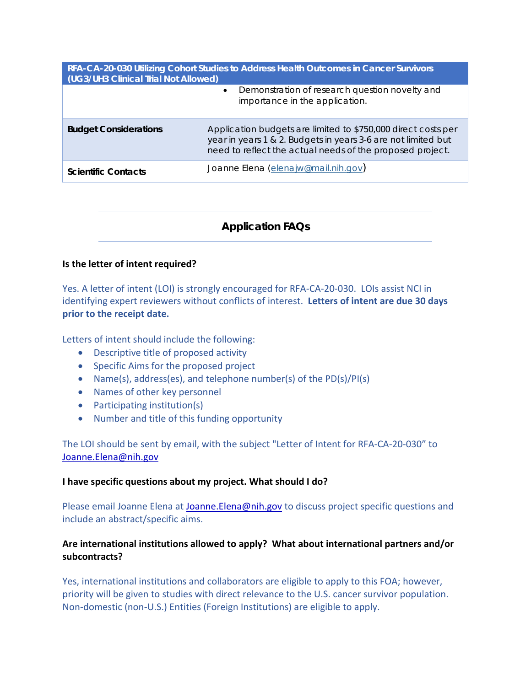| RFA-CA-20-030 Utilizing Cohort Studies to Address Health Outcomes in Cancer Survivors<br>(UG3/UH3 Clinical Trial Not Allowed) |                                                                                                                                                                                             |
|-------------------------------------------------------------------------------------------------------------------------------|---------------------------------------------------------------------------------------------------------------------------------------------------------------------------------------------|
|                                                                                                                               | Demonstration of research question novelty and<br>$\bullet$<br>importance in the application.                                                                                               |
| <b>Budget Considerations</b>                                                                                                  | Application budgets are limited to \$750,000 direct costs per<br>year in years 1 & 2. Budgets in years 3-6 are not limited but<br>need to reflect the actual needs of the proposed project. |
| <b>Scientific Contacts</b>                                                                                                    | Joanne Elena (elenajw@mail.nih.gov)                                                                                                                                                         |

# *Application FAQs*

## **Is the letter of intent required?**

Yes. A letter of intent (LOI) is strongly encouraged for RFA-CA-20-030. LOIs assist NCI in identifying expert reviewers without conflicts of interest. **Letters of intent are due 30 days prior to the receipt date.** 

Letters of intent should include the following:

- Descriptive title of proposed activity
- Specific Aims for the proposed project
- Name(s), address(es), and telephone number(s) of the PD(s)/PI(s)
- Names of other key personnel
- Participating institution(s)
- Number and title of this funding opportunity

The LOI should be sent by email, with the subject "Letter of Intent for RFA-CA-20-030" to [Joanne.Elena@nih.gov](mailto:Joanne.Elena@nih.gov)

#### **I have specific questions about my project. What should I do?**

Please email Joanne Elena at [Joanne.Elena@nih.gov](mailto:Joanne.Elena@nih.gov) to discuss project specific questions and include an abstract/specific aims.

# **Are international institutions allowed to apply? What about international partners and/or subcontracts?**

Yes, international institutions and collaborators are eligible to apply to this FOA; however, priority will be given to studies with direct relevance to the U.S. cancer survivor population. Non-domestic (non-U.S.) Entities (Foreign Institutions) are eligible to apply.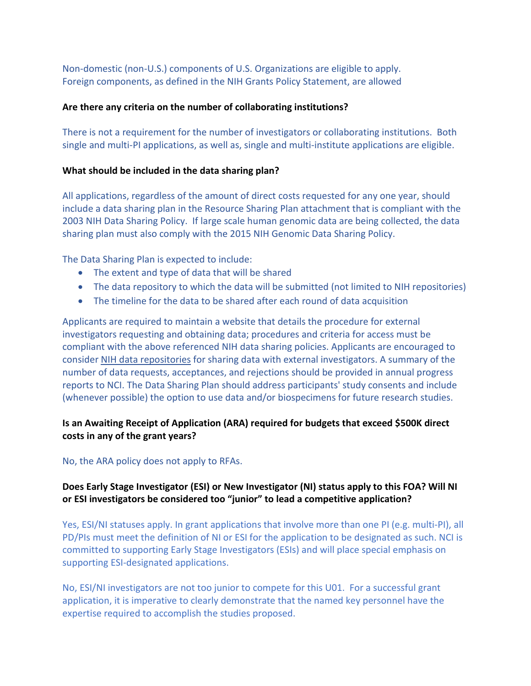Non-domestic (non-U.S.) components of U.S. Organizations are eligible to apply. Foreign components, as defined in the NIH Grants Policy Statement, are allowed

# **Are there any criteria on the number of collaborating institutions?**

There is not a requirement for the number of investigators or collaborating institutions. Both single and multi-PI applications, as well as, single and multi-institute applications are eligible.

# **What should be included in the data sharing plan?**

All applications, regardless of the amount of direct costs requested for any one year, should include a data sharing plan in the Resource Sharing Plan attachment that is compliant with the 2003 NIH Data Sharing Policy. If large scale human genomic data are being collected, the data sharing plan must also comply with the 2015 NIH Genomic Data Sharing Policy.

The Data Sharing Plan is expected to include:

- The extent and type of data that will be shared
- The data repository to which the data will be submitted (not limited to NIH repositories)
- The timeline for the data to be shared after each round of data acquisition

Applicants are required to maintain a website that details the procedure for external investigators requesting and obtaining data; procedures and criteria for access must be compliant with the above referenced NIH data sharing policies. Applicants are encouraged to consider [NIH data repositories](https://www.nlm.nih.gov/NIHbmic/nih_data_sharing_repositories.html) for sharing data with external investigators. A summary of the number of data requests, acceptances, and rejections should be provided in annual progress reports to NCI. The Data Sharing Plan should address participants' study consents and include (whenever possible) the option to use data and/or biospecimens for future research studies.

# **Is an Awaiting Receipt of Application (ARA) required for budgets that exceed \$500K direct costs in any of the grant years?**

# No, the ARA policy does not apply to RFAs.

# **Does Early Stage Investigator (ESI) or New Investigator (NI) status apply to this FOA? Will NI or ESI investigators be considered too "junior" to lead a competitive application?**

Yes, ESI/NI statuses apply. In grant applications that involve more than one PI (e.g. multi-PI), all PD/PIs must meet the definition of NI or ESI for the application to be designated as such. NCI is committed to supporting Early Stage Investigators (ESIs) and will place special emphasis on supporting ESI-designated applications.

No, ESI/NI investigators are not too junior to compete for this U01. For a successful grant application, it is imperative to clearly demonstrate that the named key personnel have the expertise required to accomplish the studies proposed.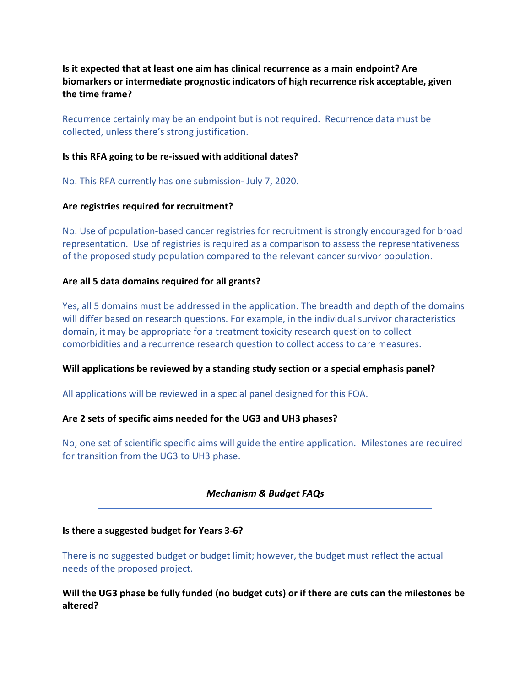**Is it expected that at least one aim has clinical recurrence as a main endpoint? Are biomarkers or intermediate prognostic indicators of high recurrence risk acceptable, given the time frame?**

Recurrence certainly may be an endpoint but is not required. Recurrence data must be collected, unless there's strong justification.

## **Is this RFA going to be re-issued with additional dates?**

No. This RFA currently has one submission- July 7, 2020.

## **Are registries required for recruitment?**

No. Use of population-based cancer registries for recruitment is strongly encouraged for broad representation. Use of registries is required as a comparison to assess the representativeness of the proposed study population compared to the relevant cancer survivor population.

## **Are all 5 data domains required for all grants?**

Yes, all 5 domains must be addressed in the application. The breadth and depth of the domains will differ based on research questions. For example, in the individual survivor characteristics domain, it may be appropriate for a treatment toxicity research question to collect comorbidities and a recurrence research question to collect access to care measures.

#### **Will applications be reviewed by a standing study section or a special emphasis panel?**

All applications will be reviewed in a special panel designed for this FOA.

## **Are 2 sets of specific aims needed for the UG3 and UH3 phases?**

No, one set of scientific specific aims will guide the entire application. Milestones are required for transition from the UG3 to UH3 phase.

## *Mechanism & Budget FAQs*

#### **Is there a suggested budget for Years 3-6?**

There is no suggested budget or budget limit; however, the budget must reflect the actual needs of the proposed project.

**Will the UG3 phase be fully funded (no budget cuts) or if there are cuts can the milestones be altered?**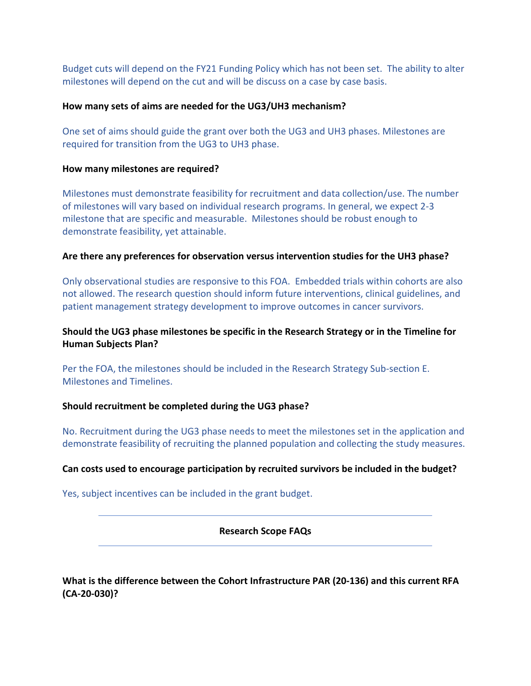Budget cuts will depend on the FY21 Funding Policy which has not been set. The ability to alter milestones will depend on the cut and will be discuss on a case by case basis.

#### **How many sets of aims are needed for the UG3/UH3 mechanism?**

One set of aims should guide the grant over both the UG3 and UH3 phases. Milestones are required for transition from the UG3 to UH3 phase.

## **How many milestones are required?**

Milestones must demonstrate feasibility for recruitment and data collection/use. The number of milestones will vary based on individual research programs. In general, we expect 2-3 milestone that are specific and measurable. Milestones should be robust enough to demonstrate feasibility, yet attainable.

## **Are there any preferences for observation versus intervention studies for the UH3 phase?**

Only observational studies are responsive to this FOA. Embedded trials within cohorts are also not allowed. The research question should inform future interventions, clinical guidelines, and patient management strategy development to improve outcomes in cancer survivors.

# **Should the UG3 phase milestones be specific in the Research Strategy or in the Timeline for Human Subjects Plan?**

Per the FOA, the milestones should be included in the Research Strategy Sub-section E. Milestones and Timelines.

## **Should recruitment be completed during the UG3 phase?**

No. Recruitment during the UG3 phase needs to meet the milestones set in the application and demonstrate feasibility of recruiting the planned population and collecting the study measures.

## **Can costs used to encourage participation by recruited survivors be included in the budget?**

Yes, subject incentives can be included in the grant budget.

**Research Scope FAQs**

**What is the difference between the Cohort Infrastructure PAR (20-136) and this current RFA (CA-20-030)?**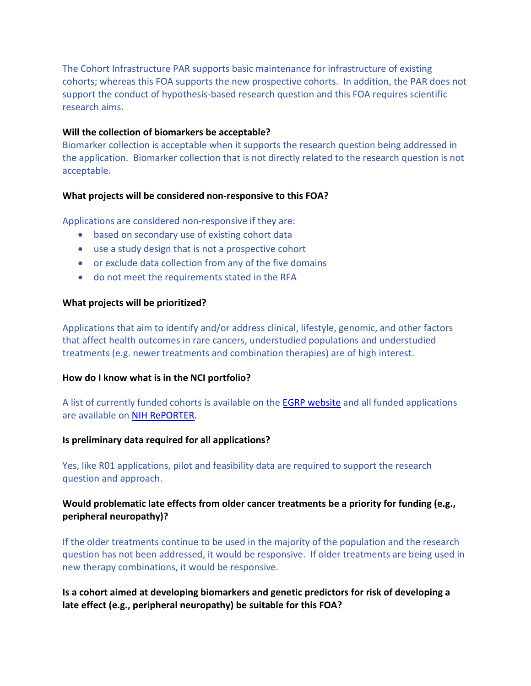The Cohort Infrastructure PAR supports basic maintenance for infrastructure of existing cohorts; whereas this FOA supports the new prospective cohorts. In addition, the PAR does not support the conduct of hypothesis-based research question and this FOA requires scientific research aims.

## **Will the collection of biomarkers be acceptable?**

Biomarker collection is acceptable when it supports the research question being addressed in the application. Biomarker collection that is not directly related to the research question is not acceptable.

## **What projects will be considered non-responsive to this FOA?**

Applications are considered non-responsive if they are:

- based on secondary use of existing cohort data
- use a study design that is not a prospective cohort
- or exclude data collection from any of the five domains
- do not meet the requirements stated in the RFA

#### **What projects will be prioritized?**

Applications that aim to identify and/or address clinical, lifestyle, genomic, and other factors that affect health outcomes in rare cancers, understudied populations and understudied treatments (e.g. newer treatments and combination therapies) are of high interest.

#### **How do I know what is in the NCI portfolio?**

A list of currently funded cohorts is available on the **EGRP website** and all funded applications are available on [NIH RePORTER.](https://projectreporter.nih.gov/reporter.cfm)

#### **Is preliminary data required for all applications?**

Yes, like R01 applications, pilot and feasibility data are required to support the research question and approach.

# **Would problematic late effects from older cancer treatments be a priority for funding (e.g., peripheral neuropathy)?**

If the older treatments continue to be used in the majority of the population and the research question has not been addressed, it would be responsive. If older treatments are being used in new therapy combinations, it would be responsive.

**Is a cohort aimed at developing biomarkers and genetic predictors for risk of developing a late effect (e.g., peripheral neuropathy) be suitable for this FOA?**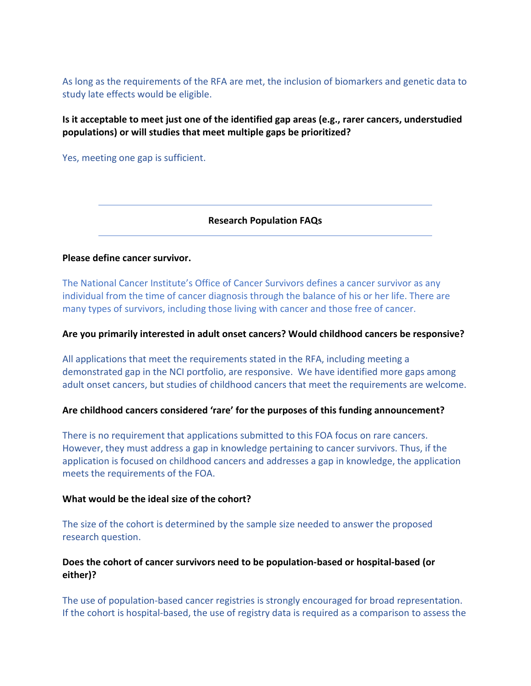As long as the requirements of the RFA are met, the inclusion of biomarkers and genetic data to study late effects would be eligible.

# **Is it acceptable to meet just one of the identified gap areas (e.g., rarer cancers, understudied populations) or will studies that meet multiple gaps be prioritized?**

Yes, meeting one gap is sufficient.

**Research Population FAQs**

## **Please define cancer survivor.**

The National Cancer Institute's Office of Cancer Survivors defines a cancer survivor as any individual from the time of cancer diagnosis through the balance of his or her life. There are many types of survivors, including those living with cancer and those free of cancer.

## **Are you primarily interested in adult onset cancers? Would childhood cancers be responsive?**

All applications that meet the requirements stated in the RFA, including meeting a demonstrated gap in the NCI portfolio, are responsive. We have identified more gaps among adult onset cancers, but studies of childhood cancers that meet the requirements are welcome.

## **Are childhood cancers considered 'rare' for the purposes of this funding announcement?**

There is no requirement that applications submitted to this FOA focus on rare cancers. However, they must address a gap in knowledge pertaining to cancer survivors. Thus, if the application is focused on childhood cancers and addresses a gap in knowledge, the application meets the requirements of the FOA.

#### **What would be the ideal size of the cohort?**

The size of the cohort is determined by the sample size needed to answer the proposed research question.

# **Does the cohort of cancer survivors need to be population-based or hospital-based (or either)?**

The use of population-based cancer registries is strongly encouraged for broad representation. If the cohort is hospital-based, the use of registry data is required as a comparison to assess the